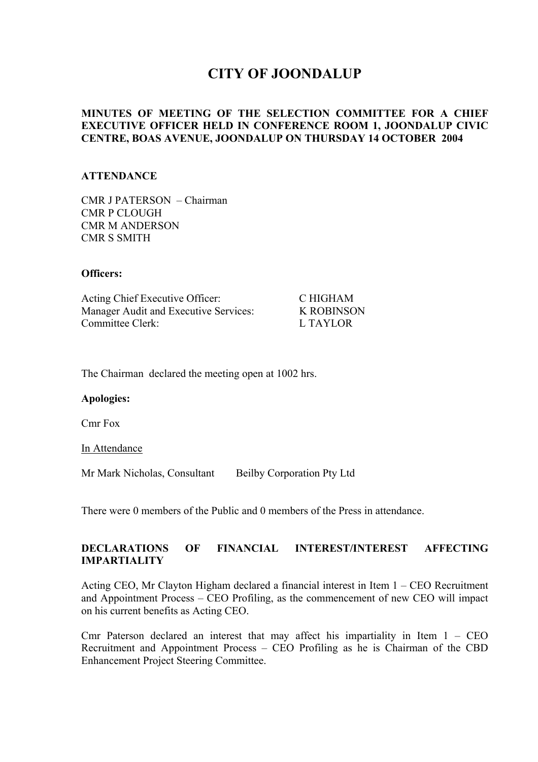# **CITY OF JOONDALUP**

## **MINUTES OF MEETING OF THE SELECTION COMMITTEE FOR A CHIEF EXECUTIVE OFFICER HELD IN CONFERENCE ROOM 1, JOONDALUP CIVIC CENTRE, BOAS AVENUE, JOONDALUP ON THURSDAY 14 OCTOBER 2004**

#### **ATTENDANCE**

CMR J PATERSON – Chairman CMR P CLOUGH CMR M ANDERSON CMR S SMITH

#### **Officers:**

| Acting Chief Executive Officer:       | C HIGHAM          |
|---------------------------------------|-------------------|
| Manager Audit and Executive Services: | <b>K ROBINSON</b> |
| Committee Clerk:                      | L TAYLOR          |

The Chairman declared the meeting open at 1002 hrs.

#### **Apologies:**

Cmr Fox

In Attendance

Mr Mark Nicholas, Consultant Beilby Corporation Pty Ltd

There were 0 members of the Public and 0 members of the Press in attendance.

# **DECLARATIONS OF FINANCIAL INTEREST/INTEREST AFFECTING IMPARTIALITY**

Acting CEO, Mr Clayton Higham declared a financial interest in Item 1 – CEO Recruitment and Appointment Process – CEO Profiling, as the commencement of new CEO will impact on his current benefits as Acting CEO.

Cmr Paterson declared an interest that may affect his impartiality in Item  $1 -$ CEO Recruitment and Appointment Process – CEO Profiling as he is Chairman of the CBD Enhancement Project Steering Committee.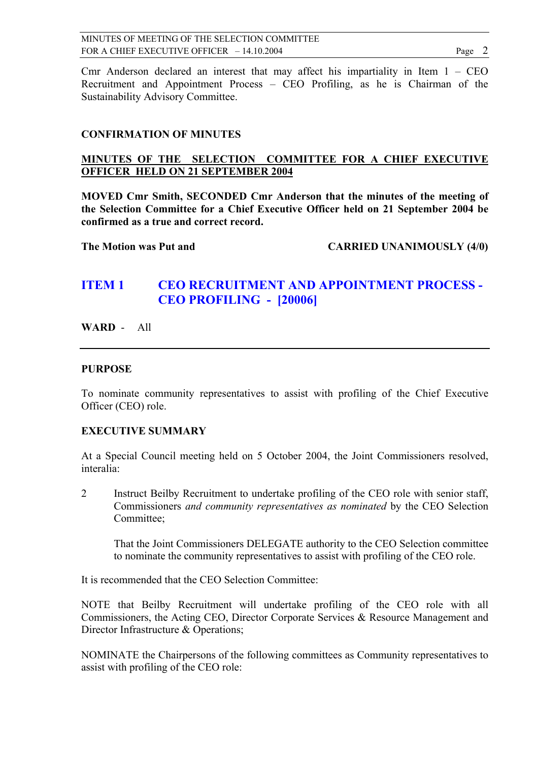Cmr Anderson declared an interest that may affect his impartiality in Item  $1 -$ CEO Recruitment and Appointment Process – CEO Profiling, as he is Chairman of the Sustainability Advisory Committee.

# **CONFIRMATION OF MINUTES**

## **MINUTES OF THE SELECTION COMMITTEE FOR A CHIEF EXECUTIVE OFFICER HELD ON 21 SEPTEMBER 2004**

**MOVED Cmr Smith, SECONDED Cmr Anderson that the minutes of the meeting of the Selection Committee for a Chief Executive Officer held on 21 September 2004 be confirmed as a true and correct record.** 

The Motion was Put and **CARRIED UNANIMOUSLY** (4/0)

# **ITEM 1 CEO RECRUITMENT AND APPOINTMENT PROCESS - CEO PROFILING - [20006]**

## **WARD** - All

### **PURPOSE**

To nominate community representatives to assist with profiling of the Chief Executive Officer (CEO) role.

### **EXECUTIVE SUMMARY**

At a Special Council meeting held on 5 October 2004, the Joint Commissioners resolved, interalia:

2 Instruct Beilby Recruitment to undertake profiling of the CEO role with senior staff, Commissioners *and community representatives as nominated* by the CEO Selection Committee;

That the Joint Commissioners DELEGATE authority to the CEO Selection committee to nominate the community representatives to assist with profiling of the CEO role.

It is recommended that the CEO Selection Committee:

NOTE that Beilby Recruitment will undertake profiling of the CEO role with all Commissioners, the Acting CEO, Director Corporate Services & Resource Management and Director Infrastructure & Operations;

NOMINATE the Chairpersons of the following committees as Community representatives to assist with profiling of the CEO role: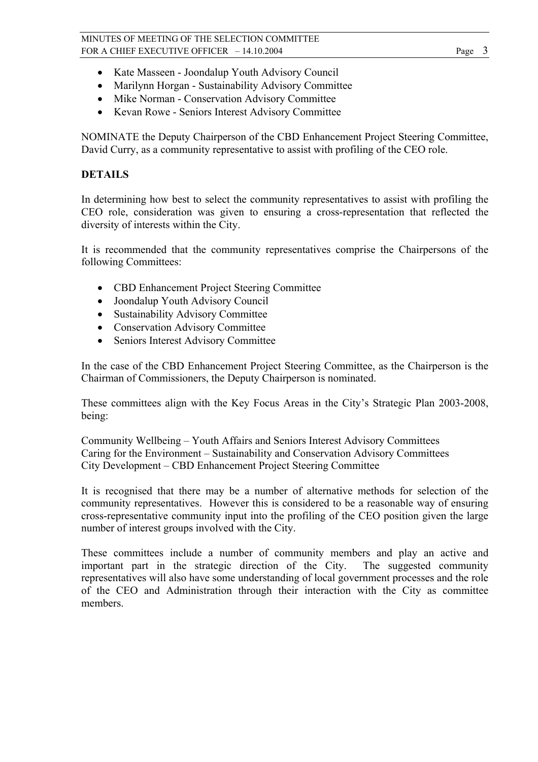- Kate Masseen Joondalup Youth Advisory Council
- Marilynn Horgan Sustainability Advisory Committee
- Mike Norman Conservation Advisory Committee
- Kevan Rowe Seniors Interest Advisory Committee

NOMINATE the Deputy Chairperson of the CBD Enhancement Project Steering Committee, David Curry, as a community representative to assist with profiling of the CEO role.

# **DETAILS**

In determining how best to select the community representatives to assist with profiling the CEO role, consideration was given to ensuring a cross-representation that reflected the diversity of interests within the City.

It is recommended that the community representatives comprise the Chairpersons of the following Committees:

- CBD Enhancement Project Steering Committee
- Joondalup Youth Advisory Council
- Sustainability Advisory Committee
- Conservation Advisory Committee
- Seniors Interest Advisory Committee

In the case of the CBD Enhancement Project Steering Committee, as the Chairperson is the Chairman of Commissioners, the Deputy Chairperson is nominated.

These committees align with the Key Focus Areas in the City's Strategic Plan 2003-2008, being:

Community Wellbeing – Youth Affairs and Seniors Interest Advisory Committees Caring for the Environment – Sustainability and Conservation Advisory Committees City Development – CBD Enhancement Project Steering Committee

It is recognised that there may be a number of alternative methods for selection of the community representatives. However this is considered to be a reasonable way of ensuring cross-representative community input into the profiling of the CEO position given the large number of interest groups involved with the City.

These committees include a number of community members and play an active and important part in the strategic direction of the City. The suggested community representatives will also have some understanding of local government processes and the role of the CEO and Administration through their interaction with the City as committee members.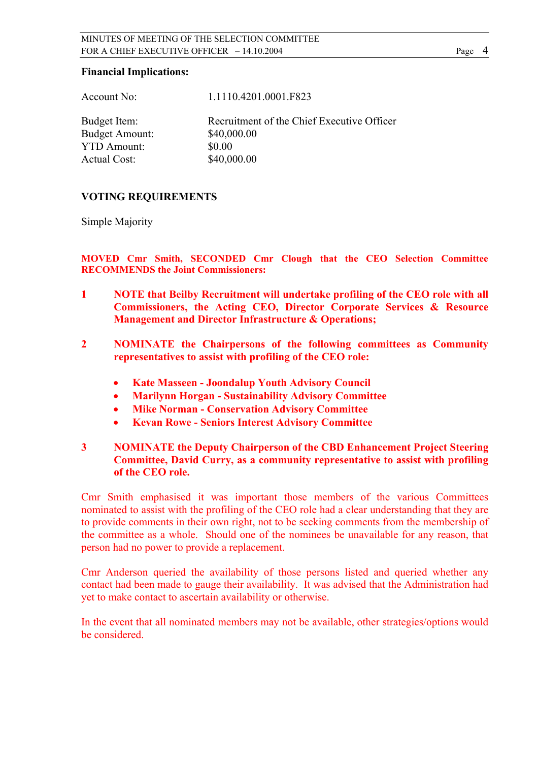#### **Financial Implications:**

| Account No:           | 1.1110.4201.0001.F823                      |
|-----------------------|--------------------------------------------|
| Budget Item:          | Recruitment of the Chief Executive Officer |
| <b>Budget Amount:</b> | \$40,000.00                                |
| <b>YTD Amount:</b>    | \$0.00                                     |
| <b>Actual Cost:</b>   | \$40,000.00                                |
|                       |                                            |

# **VOTING REQUIREMENTS**

Simple Majority

**MOVED Cmr Smith, SECONDED Cmr Clough that the CEO Selection Committee RECOMMENDS the Joint Commissioners:**

- **1 NOTE that Beilby Recruitment will undertake profiling of the CEO role with all Commissioners, the Acting CEO, Director Corporate Services & Resource Management and Director Infrastructure & Operations;**
- **2 NOMINATE the Chairpersons of the following committees as Community representatives to assist with profiling of the CEO role:** 
	- **Kate Masseen Joondalup Youth Advisory Council**
	- **Marilynn Horgan Sustainability Advisory Committee**
	- **Mike Norman Conservation Advisory Committee**
	- **Kevan Rowe Seniors Interest Advisory Committee**

# **3 NOMINATE the Deputy Chairperson of the CBD Enhancement Project Steering Committee, David Curry, as a community representative to assist with profiling of the CEO role.**

Cmr Smith emphasised it was important those members of the various Committees nominated to assist with the profiling of the CEO role had a clear understanding that they are to provide comments in their own right, not to be seeking comments from the membership of the committee as a whole. Should one of the nominees be unavailable for any reason, that person had no power to provide a replacement.

Cmr Anderson queried the availability of those persons listed and queried whether any contact had been made to gauge their availability. It was advised that the Administration had yet to make contact to ascertain availability or otherwise.

In the event that all nominated members may not be available, other strategies/options would be considered.